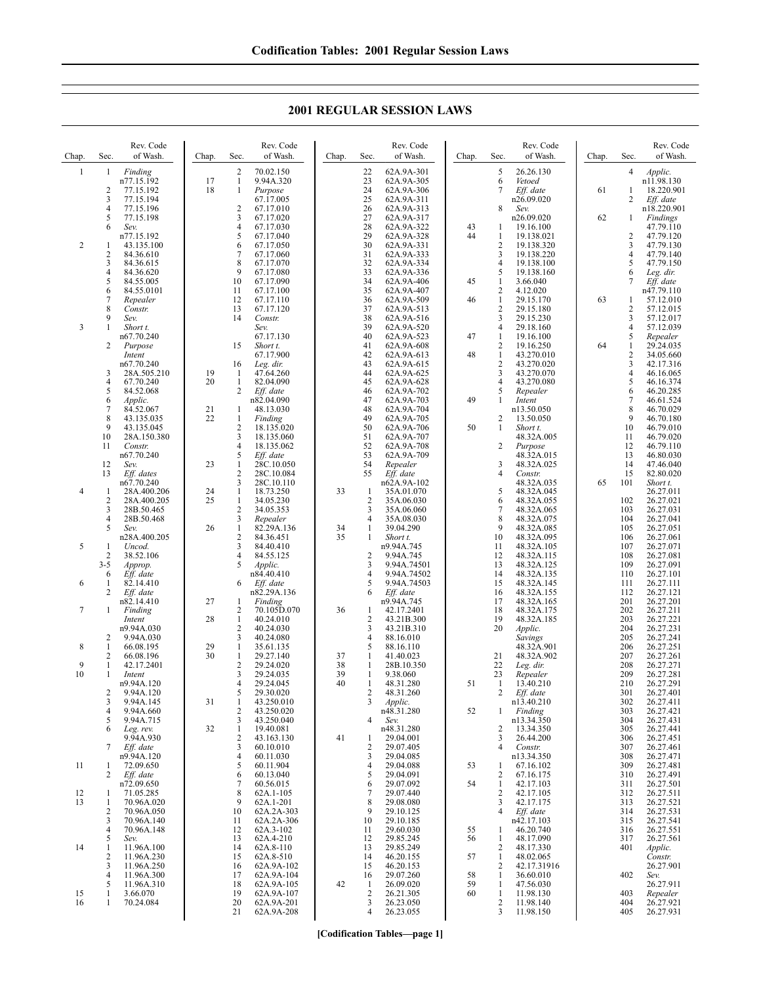**2001 REGULAR SESSION LAWS**

| Chap.      | Sec.                   | Rev. Code<br>of Wash.                           | Chap.    | Sec.                                  | Rev. Code<br>of Wash.                             | Chap.    | Sec.                       | Rev. Code<br>of Wash.                                | Chap.          | Sec.                                  | Rev. Code<br>of Wash.                            | Chap. | Sec.                                  | Rev. Code<br>of Wash.                            |
|------------|------------------------|-------------------------------------------------|----------|---------------------------------------|---------------------------------------------------|----------|----------------------------|------------------------------------------------------|----------------|---------------------------------------|--------------------------------------------------|-------|---------------------------------------|--------------------------------------------------|
| 1          | 1<br>2<br>3            | Finding<br>n77.15.192<br>77.15.192<br>77.15.194 | 17<br>18 | 2<br>1<br>$\mathbf{1}$                | 70.02.150<br>9.94A.320<br>Purpose<br>67.17.005    |          | 22<br>23<br>24<br>25       | 62A.9A-301<br>62A.9A-305<br>62A.9A-306<br>62A.9A-311 |                | 5<br>6<br>7                           | 26.26.130<br>Vetoed<br>Eff. date<br>n26.09.020   | 61    | 4<br>1<br>2                           | Applic.<br>n11.98.130<br>18.220.901<br>Eff. date |
|            | 4<br>5<br>6            | 77.15.196<br>77.15.198<br>Sev.                  |          | 2<br>3<br>4                           | 67.17.010<br>67.17.020<br>67.17.030               |          | 26<br>27<br>28             | 62A.9A-313<br>62A.9A-317<br>62A.9A-322               | 43             | 8<br>-1                               | Sev.<br>n26.09.020<br>19.16.100                  | 62    | 1                                     | n18.220.901<br>Findings<br>47.79.110             |
| $\sqrt{2}$ | 1<br>2                 | n77.15.192<br>43.135.100<br>84.36.610           |          | 5<br>6<br>7                           | 67.17.040<br>67.17.050<br>67.17.060               |          | 29<br>30<br>31             | 62A.9A-328<br>62A.9A-331<br>62A.9A-333               | 44             | -1<br>$\overline{2}$<br>3             | 19.138.021<br>19.138.320<br>19.138.220           |       | $\overline{c}$<br>3<br>$\overline{4}$ | 47.79.120<br>47.79.130<br>47.79.140              |
|            | 3<br>4<br>5            | 84.36.615<br>84.36.620<br>84.55.005             |          | 8<br>9<br>10                          | 67.17.070<br>67.17.080<br>67.17.090               |          | 32<br>33<br>34             | 62A.9A-334<br>62A.9A-336<br>62A.9A-406               | 45             | $\overline{4}$<br>5<br>1              | 19.138.100<br>19.138.160<br>3.66.040             |       | 5<br>6<br>7                           | 47.79.150<br>Leg. dir.<br>Eff. date              |
|            | 6<br>7<br>8            | 84.55.0101<br>Repealer<br>Constr.               |          | 11<br>12<br>13                        | 67.17.100<br>67.17.110<br>67.17.120               |          | 35<br>36<br>37             | 62A.9A-407<br>62A.9A-509<br>62A.9A-513               | 46             | $\overline{2}$<br>1<br>$\overline{2}$ | 4.12.020<br>29.15.170<br>29.15.180               | 63    | 1<br>$\overline{2}$                   | n47.79.110<br>57.12.010<br>57.12.015             |
| 3          | 9<br>1                 | Sev.<br>Short t.<br>n67.70.240                  |          | 14                                    | Constr.<br>Sev.<br>67.17.130                      |          | 38<br>39<br>40             | 62A.9A-516<br>62A.9A-520<br>62A.9A-523               | 47             | 3<br>4<br>1                           | 29.15.230<br>29.18.160<br>19.16.100              |       | 3<br>$\overline{4}$<br>5              | 57.12.017<br>57.12.039<br>Repealer               |
|            | 2                      | Purpose<br>Intent<br>n67.70.240                 |          | 15<br>16                              | Short t.<br>67.17.900<br>Leg. dir.                |          | 41<br>42<br>43             | 62A.9A-608<br>62A.9A-613<br>62A.9A-615               | 48             | 2<br>$\mathbf{1}$<br>$\overline{2}$   | 19.16.250<br>43.270.010<br>43.270.020            | 64    | 1<br>$\sqrt{2}$<br>3                  | 29.24.035<br>34.05.660<br>42.17.316              |
|            | 3<br>4<br>5            | 28A.505.210<br>67.70.240<br>84.52.068           | 19<br>20 | 1<br>1<br>2                           | 47.64.260<br>82.04.090<br>Eff. date               |          | 44<br>45<br>46             | 62A.9A-625<br>62A.9A-628<br>62A.9A-702               |                | 3<br>4<br>5                           | 43.270.070<br>43.270.080<br>Repealer             |       | $\overline{4}$<br>5<br>6              | 46.16.065<br>46.16.374<br>46.20.285              |
|            | 6<br>7<br>8            | <i>Applic.</i><br>84.52.067<br>43.135.035       | 21<br>22 | 1<br>1                                | n82.04.090<br>48.13.030<br>Finding                |          | 47<br>48<br>49             | 62A.9A-703<br>62A.9A-704<br>62A.9A-705               | 49             | 1<br>$\overline{2}$                   | Intent<br>n13.50.050<br>13.50.050                |       | 7<br>8<br>9                           | 46.61.524<br>46.70.029<br>46.70.180              |
|            | 9<br>10<br>11          | 43.135.045<br>28A.150.380<br>Constr.            |          | 2<br>3<br>$\overline{4}$              | 18.135.020<br>18.135.060<br>18.135.062            |          | 50<br>51<br>52             | 62A.9A-706<br>62A.9A-707<br>62A.9A-708               | 50             | -1<br>$\overline{2}$                  | Short t.<br>48.32A.005<br>Purpose                |       | 10<br>11<br>12                        | 46.79.010<br>46.79.020<br>46.79.110              |
|            | 12<br>13               | n67.70.240<br>Sev.<br>Eff. dates                | 23       | 5<br>$\mathbf{1}$<br>2                | Eff. date<br>28C.10.050<br>28C.10.084             |          | 53<br>54<br>55             | 62A.9A-709<br>Repealer<br>Eff. date                  |                | 3<br>4                                | 48.32A.015<br>48.32A.025<br>Constr.              |       | 13<br>14<br>15                        | 46.80.030<br>47.46.040<br>82.80.020              |
| 4          | -1<br>2                | n67.70.240<br>28A.400.206<br>28A.400.205        | 24<br>25 | 3<br>1<br>$\mathbf{1}$                | 28C.10.110<br>18.73.250<br>34.05.230              | 33       | $\mathbf{1}$<br>2          | n62A.9A-102<br>35A.01.070<br>35A.06.030              |                | 5<br>6                                | 48.32A.035<br>48.32A.045<br>48.32A.055           | 65    | 101<br>102                            | Short t.<br>26.27.011<br>26.27.021               |
|            | 3<br>4<br>5            | 28B.50.465<br>28B.50.468<br>Sev.                | 26       | $\overline{c}$<br>3<br>1              | 34.05.353<br>Repealer<br>82.29A.136               | 34       | 3<br>4<br>1                | 35A.06.060<br>35A.08.030<br>39.04.290                |                | 7<br>8<br>9                           | 48.32A.065<br>48.32A.075<br>48.32A.085           |       | 103<br>104<br>105                     | 26.27.031<br>26.27.041<br>26.27.051              |
| 5          | 1<br>2                 | n28A.400.205<br>Uncod.<br>38.52.106             |          | $\overline{c}$<br>3<br>$\overline{4}$ | 84.36.451<br>84.40.410<br>84.55.125               | 35       | 1<br>2                     | Short t.<br>n9.94A.745<br>9.94A.745                  |                | 10<br>11<br>12                        | 48.32A.095<br>48.32A.105<br>48.32A.115           |       | 106<br>107<br>108                     | 26.27.061<br>26.27.071<br>26.27.081              |
| 6          | $3 - 5$<br>6<br>1      | Approp.<br>Eff. date<br>82.14.410               |          | 5<br>6                                | Applic.<br>n84.40.410<br>Eff. date                |          | 3<br>$\overline{4}$<br>5   | 9.94A.74501<br>9.94A.74502<br>9.94A.74503            |                | 13<br>14<br>15                        | 48.32A.125<br>48.32A.135<br>48.32A.145           |       | 109<br>110<br>111                     | 26.27.091<br>26.27.101<br>26.27.111              |
| 7          | 2<br>1                 | Eff. date<br>n82.14.410<br>Finding              | 27       | 1<br>2                                | n82.29A.136<br>Finding<br>70.105D.070             | 36       | 6<br>1                     | Eff. date<br>n9.94A.745<br>42.17.2401                |                | 16<br>17<br>18                        | 48.32A.155<br>48.32A.165<br>48.32A.175           |       | 112<br>201<br>202                     | 26.27.121<br>26.27.201<br>26.27.211              |
|            | 2                      | Intent<br>n9.94A.030<br>9.94A.030               | 28       | $\mathbf{1}$<br>$\overline{c}$<br>3   | 40.24.010<br>40.24.030<br>40.24.080               |          | 2<br>3<br>4                | 43.21B.300<br>43.21B.310<br>88.16.010                |                | 19<br>20                              | 48.32A.185<br>Applic.<br>Savings                 |       | 203<br>204<br>205                     | 26.27.221<br>26.27.231<br>26.27.241              |
| 8<br>9     | 1<br>2<br>1<br>1       | 66.08.195<br>66.08.196<br>42.17.2401            | 29<br>30 | 1<br>$\mathbf{1}$<br>2<br>3           | 35.61.135<br>29.27.140<br>29.24.020               | 37<br>38 | 5<br>1<br>1                | 88.16.110<br>41.40.023<br>28B.10.350<br>9.38.060     |                | 21<br>22                              | 48.32A.901<br>48.32A.902<br>Leg. dir.            |       | 206<br>207<br>208                     | 26.27.251<br>26.27.261<br>26.27.271              |
| 10         | 2<br>3                 | Intent<br>n9.94A.120<br>9.94A.120<br>9.94A.145  | 31       | 4<br>5<br>1                           | 29.24.035<br>29.24.045<br>29.30.020<br>43.250.010 | 39<br>40 | 1<br>1<br>2<br>3           | 48.31.280<br>48.31.260<br>Applic.                    | 51             | 23<br>-1<br>$\overline{c}$            | Repealer<br>13.40.210<br>Eff. date<br>n13.40.210 |       | 209<br>210<br>301<br>302              | 26.27.281<br>26.27.291<br>26.27.401<br>26.27.411 |
|            | 4<br>5<br>6            | 9.94A.660<br>9.94A.715<br>Leg. rev.             | 32       | $\mathbf{2}$<br>3<br>$\mathbf{1}$     | 43.250.020<br>43.250.040<br>19.40.081             |          | 4                          | n48.31.280<br>Sev.<br>n48.31.280                     | 52             | 1<br>$\overline{2}$                   | Finding<br>n13.34.350<br>13.34.350               |       | 303<br>304<br>305                     | 26.27.421<br>26.27.431<br>26.27.441              |
|            | 7                      | 9.94A.930<br>Eff. date<br>n9.94A.120            |          | 2<br>3<br>4                           | 43.163.130<br>60.10.010<br>60.11.030              | 41       | 1<br>2<br>3                | 29.04.001<br>29.07.405<br>29.04.085                  |                | 3<br>4                                | 26.44.200<br>Constr.<br>n13.34.350               |       | 306<br>307<br>308                     | 26.27.451<br>26.27.461<br>26.27.471              |
| 11         | 1<br>2                 | 72.09.650<br>Eff. date<br>n72.09.650            |          | 5<br>6<br>$\tau$                      | 60.11.904<br>60.13.040<br>60.56.015               |          | 4<br>5<br>6                | 29.04.088<br>29.04.091<br>29.07.092                  | 53<br>54       | 1<br>$\overline{2}$<br>$\mathbf{1}$   | 67.16.102<br>67.16.175<br>42.17.103              |       | 309<br>310<br>311                     | 26.27.481<br>26.27.491<br>26.27.501              |
| 12<br>13   | 1<br>$\mathbf{1}$<br>2 | 71.05.285<br>70.96A.020<br>70.96A.050           |          | 8<br>9<br>10                          | 62A.1-105<br>62A.1-201<br>62A.2A-303              |          | 7<br>8<br>9                | 29.07.440<br>29.08.080<br>29.10.125                  |                | $\overline{c}$<br>3<br>4              | 42.17.105<br>42.17.175<br>Eff. date              |       | 312<br>313<br>314                     | 26.27.511<br>26.27.521<br>26.27.531              |
|            | 3<br>4<br>5            | 70.96A.140<br>70.96A.148<br>Sev.                |          | 11<br>12<br>13                        | 62A.2A-306<br>62A.3-102<br>62A.4-210              |          | 10<br>11<br>12             | 29.10.185<br>29.60.030<br>29.85.245                  | 55<br>56       | 1<br>-1                               | n42.17.103<br>46.20.740<br>48.17.090             |       | 315<br>316<br>317                     | 26.27.541<br>26.27.551<br>26.27.561              |
| 14         | 1<br>2<br>3            | 11.96A.100<br>11.96A.230<br>11.96A.250          |          | 14<br>15<br>16                        | 62A.8-110<br>62A.8-510<br>62A.9A-102              |          | 13<br>14<br>15             | 29.85.249<br>46.20.155<br>46.20.153                  | 57             | $\overline{2}$<br>$\mathbf{1}$<br>2   | 48.17.330<br>48.02.065<br>42.17.31916            |       | 401                                   | Applic.<br>Constr.<br>26.27.901                  |
| 15         | 4<br>5<br>1            | 11.96A.300<br>11.96A.310<br>3.66.070            |          | 17<br>18<br>19                        | 62A.9A-104<br>62A.9A-105<br>62A.9A-107            | 42       | 16<br>-1<br>$\overline{c}$ | 29.07.260<br>26.09.020<br>26.21.305                  | 58<br>59<br>60 | 1<br>$\mathbf{1}$<br>$\mathbf{1}$     | 36.60.010<br>47.56.030<br>11.98.130              |       | 402<br>403                            | Sev.<br>26.27.911<br>Repealer                    |
| 16         | 1                      | 70.24.084                                       |          | 20<br>21                              | 62A.9A-201<br>62A.9A-208                          |          | 3<br>4                     | 26.23.050<br>26.23.055                               |                | $\overline{2}$<br>3                   | 11.98.140<br>11.98.150                           |       | 404<br>405                            | 26.27.921<br>26.27.931                           |

**[Codification Tables—page 1]**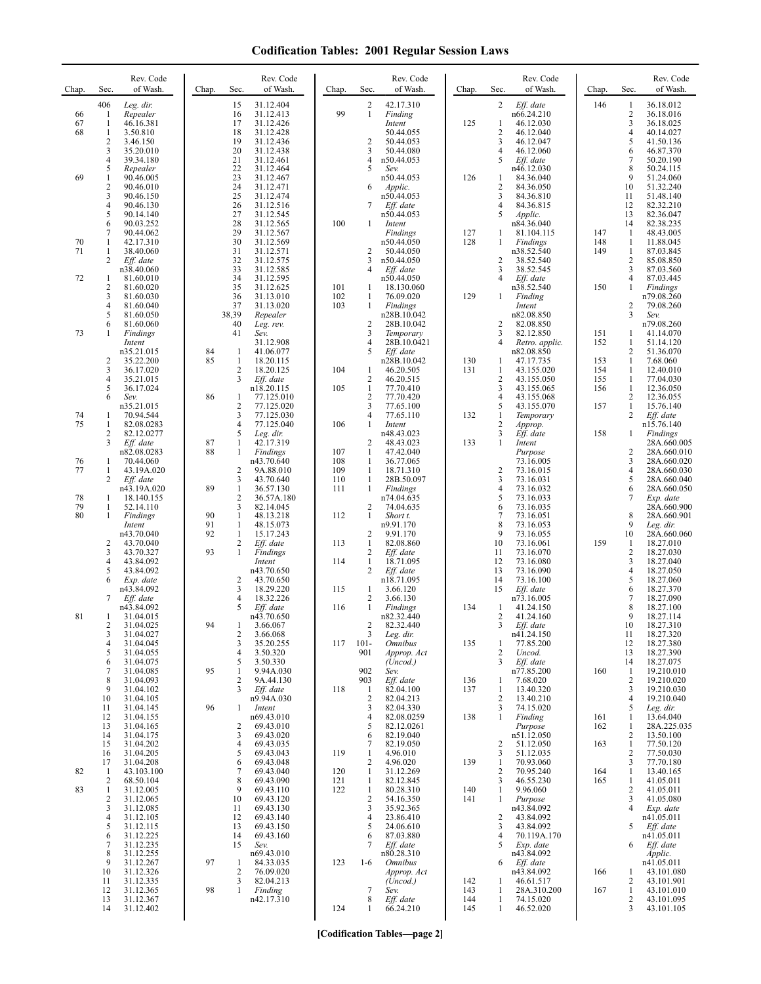| Chap.    | Sec.                | Rev. Code<br>of Wash.   | Chap.    | Sec.                         | Rev. Code<br>of Wash.    | Chap.      | Sec.                | Rev. Code<br>of Wash.                | Chap.      | Sec.                    | Rev. Code<br>of Wash.        | Chap.      | Sec.                             | Rev. Code<br>of Wash.      |
|----------|---------------------|-------------------------|----------|------------------------------|--------------------------|------------|---------------------|--------------------------------------|------------|-------------------------|------------------------------|------------|----------------------------------|----------------------------|
|          | 406                 | Leg. dir.               |          | 15                           | 31.12.404                |            | $\overline{2}$      | 42.17.310                            |            | $\overline{2}$          | Eff. date                    | 146        | 1                                | 36.18.012                  |
| 66<br>67 | -1<br>1             | Repealer<br>46.16.381   |          | 16<br>17                     | 31.12.413<br>31.12.426   | 99         | 1                   | Finding<br>Intent                    | 125        | $\mathbf{1}$            | n66.24.210<br>46.12.030      |            | 2<br>3                           | 36.18.016<br>36.18.025     |
| 68       | 1                   | 3.50.810                |          | 18                           | 31.12.428                |            |                     | 50.44.055                            |            | $\overline{\mathbf{c}}$ | 46.12.040                    |            | $\overline{4}$                   | 40.14.027                  |
|          | $\overline{2}$      | 3.46.150                |          | 19                           | 31.12.436                |            | $\overline{2}$      | 50.44.053                            |            | 3                       | 46.12.047                    |            | 5                                | 41.50.136                  |
|          | 3<br>4              | 35.20.010<br>39.34.180  |          | 20<br>21                     | 31.12.438<br>31.12.461   |            | 3<br>4              | 50.44.080<br>n50.44.053              |            | 4<br>5                  | 46.12.060<br>Eff. date       |            | 6<br>7                           | 46.87.370<br>50.20.190     |
|          | 5                   | Repealer                |          | 22                           | 31.12.464                |            | 5                   | Sev.                                 |            |                         | n46.12.030                   |            | 8                                | 50.24.115                  |
| 69       | 1<br>$\overline{c}$ | 90.46.005               |          | 23<br>24                     | 31.12.467                |            |                     | n50.44.053                           | 126        | 1<br>$\overline{c}$     | 84.36.040                    |            | 9<br>10                          | 51.24.060                  |
|          | 3                   | 90.46.010<br>90.46.150  |          | 25                           | 31.12.471<br>31.12.474   |            | 6                   | Applic.<br>n50.44.053                |            | 3                       | 84.36.050<br>84.36.810       |            | 11                               | 51.32.240<br>51.48.140     |
|          | 4                   | 90.46.130               |          | 26                           | 31.12.516                |            | 7                   | Eff. date                            |            | $\overline{4}$          | 84.36.815                    |            | 12                               | 82.32.210                  |
|          | 5<br>6              | 90.14.140<br>90.03.252  |          | 27<br>28                     | 31.12.545<br>31.12.565   | 100        | 1                   | n50.44.053<br>Intent                 |            | 5                       | <i>Applic.</i><br>n84.36.040 |            | 13<br>14                         | 82.36.047<br>82.38.235     |
|          | 7                   | 90.44.062               |          | 29                           | 31.12.567                |            |                     | <b>Findings</b>                      | 127        | 1                       | 81.104.115                   | 147        | -1                               | 48.43.005                  |
| 70<br>71 | 1<br>1              | 42.17.310<br>38.40.060  |          | 30<br>31                     | 31.12.569<br>31.12.571   |            | $\overline{2}$      | n50.44.050<br>50.44.050              | 128        | 1                       | Findings<br>n38.52.540       | 148<br>149 | $\mathbf{1}$<br>1                | 11.88.045<br>87.03.845     |
|          | 2                   | Eff. date               |          | 32                           | 31.12.575                |            | 3                   | n50.44.050                           |            | $\overline{2}$          | 38.52.540                    |            | $\overline{c}$                   | 85.08.850                  |
|          |                     | n38.40.060              |          | 33                           | 31.12.585                |            | 4                   | Eff. date                            |            | 3                       | 38.52.545                    |            | 3                                | 87.03.560                  |
| 72       | 1<br>$\overline{c}$ | 81.60.010<br>81.60.020  |          | 34<br>35                     | 31.12.595<br>31.12.625   | 101        | -1                  | n50.44.050<br>18.130.060             |            | $\overline{4}$          | Eff. date<br>n38.52.540      | 150        | $\overline{4}$<br>$\mathbf{1}$   | 87.03.445<br>Findings      |
|          | 3                   | 81.60.030               |          | 36                           | 31.13.010                | 102        | $\mathbf{1}$        | 76.09.020                            | 129        | 1                       | Finding                      |            |                                  | n79.08.260                 |
|          | 4<br>5              | 81.60.040<br>81.60.050  |          | 37<br>38,39                  | 31.13.020<br>Repealer    | 103        | $\mathbf{1}$        | Findings<br>n28B.10.042              |            |                         | Intent<br>n82.08.850         |            | $\overline{c}$<br>$\overline{3}$ | 79.08.260<br>Sev.          |
|          | 6                   | 81.60.060               |          | 40                           | Leg. rev.                |            | 2                   | 28B.10.042                           |            | 2                       | 82.08.850                    |            |                                  | n79.08.260                 |
| 73       | 1                   | <b>Findings</b>         |          | 41                           | Sev.                     |            | 3                   | Temporary                            |            | 3<br>4                  | 82.12.850                    | 151<br>152 | 1                                | 41.14.070                  |
|          |                     | Intent<br>n35.21.015    | 84       | 1                            | 31.12.908<br>41.06.077   |            | 4<br>5              | 28B.10.0421<br>Eff. date             |            |                         | Retro. applic.<br>n82.08.850 |            | 1<br>2                           | 51.14.120<br>51.36.070     |
|          | 2                   | 35.22.200               | 85       | 1                            | 18.20.115                |            |                     | n28B.10.042                          | 130        | 1                       | 47.17.735                    | 153        | 1                                | 7.68.060                   |
|          | 3<br>4              | 36.17.020<br>35.21.015  |          | 2<br>3                       | 18.20.125<br>Eff. date   | 104        | 1<br>$\overline{c}$ | 46.20.505<br>46.20.515               | 131        | 1<br>$\overline{c}$     | 43.155.020<br>43.155.050     | 154<br>155 | 1<br>1                           | 12.40.010<br>77.04.030     |
|          | 5                   | 36.17.024               |          |                              | n18.20.115               | 105        | $\mathbf{1}$        | 77.70.410                            |            | 3                       | 43.155.065                   | 156        | 1                                | 12.36.050                  |
|          | 6                   | Sev.                    | 86       | 1<br>$\overline{c}$          | 77.125.010               |            | $\sqrt{2}$<br>3     | 77.70.420                            |            | 4<br>5                  | 43.155.068<br>43.155.070     | 157        | 2<br>$\mathbf{1}$                | 12.36.055                  |
| 74       | 1                   | n35.21.015<br>70.94.544 |          | 3                            | 77.125.020<br>77.125.030 |            | 4                   | 77.65.100<br>77.65.110               | 132        | 1                       | Temporary                    |            | $\overline{2}$                   | 15.76.140<br>Eff. date     |
| 75       | 1                   | 82.08.0283              |          | $\overline{4}$               | 77.125.040               | 106        | 1                   | Intent                               |            | $\overline{2}$          | Approp.                      |            |                                  | n15.76.140                 |
|          | 2<br>3              | 82.12.0277<br>Eff. date | 87       | 5<br>$\mathbf{1}$            | Leg. dir.<br>42.17.319   |            | $\overline{c}$      | n48.43.023<br>48.43.023              | 133        | 3<br>$\mathbf{1}$       | $Eff.$ date<br>Intent        | 158        | 1                                | Findings<br>28A.660.005    |
|          |                     | n82.08.0283             | 88       | $\mathbf{1}$                 | Findings                 | 107        | 1                   | 47.42.040                            |            |                         | Purpose                      |            | 2                                | 28A.660.010                |
| 76<br>77 | 1                   | 70.44.060<br>43.19A.020 |          | $\overline{c}$               | n43.70.640<br>9A.88.010  | 108        | 1<br>$\mathbf{1}$   | 36.77.065                            |            | $\overline{c}$          | 73.16.005                    |            | 3<br>$\overline{4}$              | 28A.660.020                |
|          | 1<br>2              | Eff. date               |          | 3                            | 43.70.640                | 109<br>110 | $\mathbf{1}$        | 18.71.310<br>28B.50.097              |            | 3                       | 73.16.015<br>73.16.031       |            | 5                                | 28A.660.030<br>28A.660.040 |
|          |                     | n43.19A.020             | 89       | $\mathbf{1}$                 | 36.57.130                | 111        | $\mathbf{1}$        | Findings                             |            | 4                       | 73.16.032                    |            | 6                                | 28A.660.050                |
| 78<br>79 | 1<br>1              | 18.140.155<br>52.14.110 |          | 2<br>3                       | 36.57A.180<br>82.14.045  |            | 2                   | n74.04.635<br>74.04.635              |            | 5<br>6                  | 73.16.033<br>73.16.035       |            | 7                                | Exp. date<br>28A.660.900   |
| 80       | 1                   | Findings                | 90       | 1                            | 48.13.218                | 112        | 1                   | Short t.                             |            | $\tau$                  | 73.16.051                    |            | 8                                | 28A.660.901                |
|          |                     | Intent<br>n43.70.040    | 91<br>92 | $\mathbf{1}$<br>$\mathbf{1}$ | 48.15.073<br>15.17.243   |            | $\overline{2}$      | n9.91.170<br>9.91.170                |            | 8<br>9                  | 73.16.053<br>73.16.055       |            | 9<br>10                          | Leg. dir.<br>28A.660.060   |
|          | $\overline{c}$      | 43.70.040               |          | 2                            | Eff. date                | 113        | 1                   | 82.08.860                            |            | 10                      | 73.16.061                    | 159        | 1                                | 18.27.010                  |
|          | 3                   | 43.70.327               | 93       | $\mathbf{1}$                 | Findings                 |            | 2                   | Eff. date                            |            | 11                      | 73.16.070                    |            | 2                                | 18.27.030                  |
|          | 4<br>5              | 43.84.092<br>43.84.092  |          |                              | Intent<br>n43.70.650     | 114        | $\mathbf{1}$<br>2   | 18.71.095<br>Eff. date               |            | 12<br>13                | 73.16.080<br>73.16.090       |            | 3<br>$\overline{4}$              | 18.27.040<br>18.27.050     |
|          | 6                   | Exp. date               |          | 2                            | 43.70.650                |            |                     | n18.71.095                           |            | 14                      | 73.16.100                    |            | 5                                | 18.27.060                  |
|          | 7                   | n43.84.092<br>Eff. date |          | 3<br>4                       | 18.29.220<br>18.32.226   | 115        | 1<br>2              | 3.66.120<br>3.66.130                 |            | 15                      | Eff. date<br>n73.16.005      |            | 6<br>7                           | 18.27.370<br>18.27.090     |
|          |                     | n43.84.092              |          | 5                            | Eff. date                | 116        | 1                   | Findings                             | 134        | 1                       | 41.24.150                    |            | 8                                | 18.27.100                  |
| 81       | 1<br>2              | 31.04.015<br>31.04.025  | 94       |                              | n43.70.650<br>3.66.067   |            | $\overline{c}$      | n82.32.440<br>82.32.440              |            | 2<br>3                  | 41.24.160<br>Eff. date       |            | 9<br>$10\,$                      | 18.27.114<br>18.27.310     |
|          | 3                   | 31.04.027               |          | 2                            | 3.66.068                 |            | 3                   | $Leg.$ dir.                          |            |                         | n41.24.150                   |            | 11                               | 18.27.320                  |
|          | 4<br>5              | 31.04.045<br>31.04.055  |          | 3<br>$\overline{4}$          | 35.20.255                | 117        | $101 -$<br>901      | <b>Omnibus</b>                       | 135        | 1<br>2                  | 77.85.200                    |            | 12<br>13                         | 18.27.380                  |
|          | 6                   | 31.04.075               |          | 5                            | 3.50.320<br>3.50.330     |            |                     | Approp. Act<br>(Uncod.)              |            | 3                       | Uncod.<br>Eff. date          |            | 14                               | 18.27.390<br>18.27.075     |
|          | 7                   | 31.04.085               | 95       | $\mathbf{1}$                 | 9.94A.030                |            | 902                 | Sev.                                 |            |                         | n77.85.200                   | 160        | -1                               | 19.210.010                 |
|          | 8<br>9              | 31.04.093<br>31.04.102  |          | 2<br>3                       | 9A.44.130<br>Eff. date   | 118        | 903<br>1            | Eff. date<br>82.04.100               | 136<br>137 | 1<br>1                  | 7.68.020<br>13.40.320        |            | $\overline{c}$<br>3              | 19.210.020<br>19.210.030   |
|          | 10                  | 31.04.105               |          |                              | n9.94A.030               |            | $\overline{2}$      | 82.04.213                            |            | 2                       | 13.40.210                    |            | 4                                | 19.210.040                 |
|          | 11<br>12            | 31.04.145<br>31.04.155  | 96       |                              | Intent<br>n69.43.010     |            | 3<br>$\overline{4}$ | 82.04.330<br>82.08.0259              | 138        | 3<br>1                  | 74.15.020<br>Finding         | 161        | 5<br>1                           | Leg. dir.<br>13.64.040     |
|          | 13                  | 31.04.165               |          | 2                            | 69.43.010                |            | 5                   | 82.12.0261                           |            |                         | Purpose                      | 162        | 1                                | 28A.225.035                |
|          | 14<br>15            | 31.04.175<br>31.04.202  |          | 3<br>4                       | 69.43.020<br>69.43.035   |            | 6<br>7              | 82.19.040<br>82.19.050               |            | $\overline{c}$          | n51.12.050<br>51.12.050      | 163        | 2<br>1                           | 13.50.100<br>77.50.120     |
|          | 16                  | 31.04.205               |          | 5                            | 69.43.043                | 119        | $\mathbf{1}$        | 4.96.010                             |            | 3                       | 51.12.035                    |            | $\sqrt{2}$                       | 77.50.030                  |
|          | 17                  | 31.04.208               |          | 6                            | 69.43.048                |            | 2                   | 4.96.020                             | 139        | 1                       | 70.93.060                    |            | 3                                | 77.70.180                  |
| 82       | -1<br>2             | 43.103.100<br>68.50.104 |          | 7<br>8                       | 69.43.040<br>69.43.090   | 120<br>121 | $\mathbf{1}$<br>1   | 31.12.269<br>82.12.845               |            | $\overline{c}$<br>3     | 70.95.240<br>46.55.230       | 164<br>165 | $\mathbf{1}$<br>1                | 13.40.165<br>41.05.011     |
| 83       | 1                   | 31.12.005               |          | 9                            | 69.43.110                | 122        | $\mathbf{1}$        | 80.28.310                            | 140        | 1                       | 9.96.060                     |            | 2                                | 41.05.011                  |
|          | $\overline{c}$<br>3 | 31.12.065<br>31.12.085  |          | 10<br>11                     | 69.43.120<br>69.43.130   |            | $\sqrt{2}$<br>3     | 54.16.350<br>35.92.365               | 141        | 1                       | Purpose<br>n43.84.092        |            | 3<br>$\overline{4}$              | 41.05.080<br>Exp. date     |
|          | 4                   | 31.12.105               |          | 12                           | 69.43.140                |            | $\overline{4}$      | 23.86.410                            |            | $\overline{2}$          | 43.84.092                    |            |                                  | n41.05.011                 |
|          | 5                   | 31.12.115               |          | 13                           | 69.43.150                |            | 5                   | 24.06.610                            |            | 3                       | 43.84.092                    |            | 5                                | Eff. date                  |
|          | 6<br>7              | 31.12.225<br>31.12.235  |          | 14<br>15                     | 69.43.160<br>Sev.        |            | 6<br>7              | 87.03.880<br>Eff. date               |            | 4<br>5                  | 70.119A.170<br>Exp. date     |            | 6                                | n41.05.011<br>Eff. date    |
|          | 8                   | 31.12.255               |          |                              | n69.43.010               |            |                     | n80.28.310                           |            |                         | n43.84.092                   |            |                                  | Applic.                    |
|          | 9<br>10             | 31.12.267<br>31.12.326  | 97       | 1<br>2                       | 84.33.035<br>76.09.020   | 123        | $1-6$               | <i><b>Omnibus</b></i><br>Approp. Act |            | 6                       | Eff. date<br>n43.84.092      | 166        | 1                                | n41.05.011<br>43.101.080   |
|          | 11                  | 31.12.335               |          | 3                            | 82.04.213                |            |                     | (Uncod.)                             | 142        | 1                       | 46.61.517                    |            | 2                                | 43.101.901                 |
|          | 12<br>13            | 31.12.365<br>31.12.367  | 98       | $\mathbf{1}$                 | Finding<br>n42.17.310    |            | 7<br>8              | Sev.<br>Eff. date                    | 143<br>144 | 1<br>1                  | 28A.310.200<br>74.15.020     | 167        | $\mathbf{1}$<br>2                | 43.101.010<br>43.101.095   |
|          | 14                  | 31.12.402               |          |                              |                          | 124        | 1                   | 66.24.210                            | 145        | 1                       | 46.52.020                    |            | 3                                | 43.101.105                 |
|          |                     |                         |          |                              |                          |            |                     |                                      |            |                         |                              |            |                                  |                            |

**[Codification Tables—page 2]**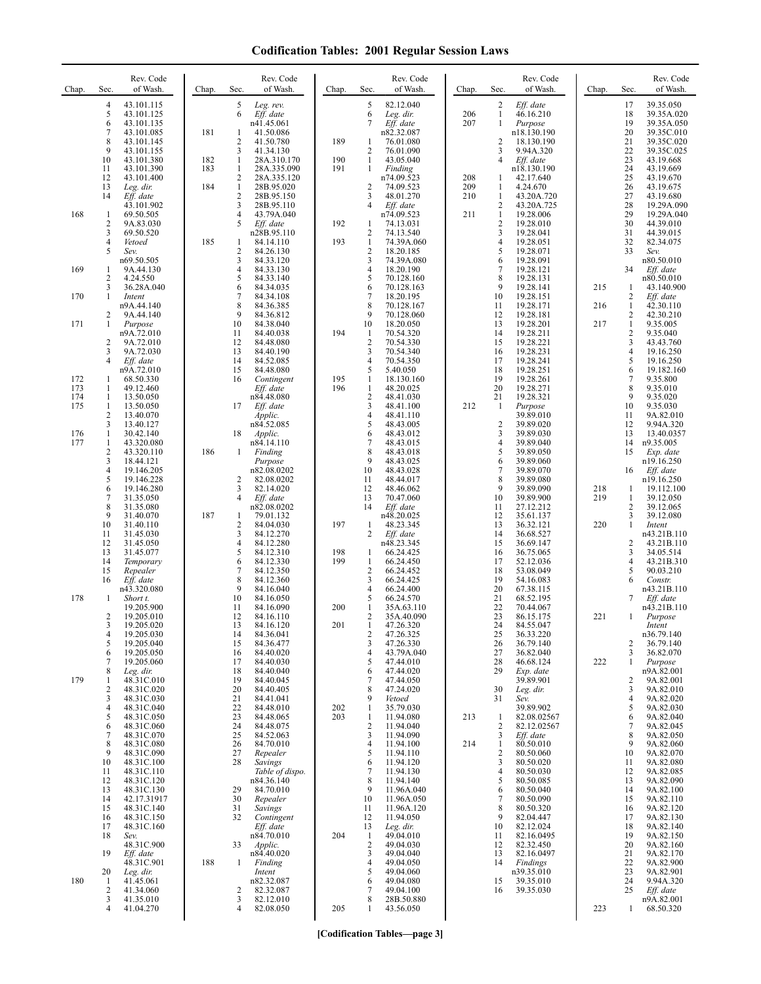| Chap.             | Sec.                                            | Rev. Code<br>of Wash.                                              | Chap.      | Sec.                              | Rev. Code<br>of Wash.                                          | Chap.      | Sec.                                       | Rev. Code<br>of Wash.                                          | Chap.      | Sec.                                     | Rev. Code<br>of Wash.                                          | Chap.      | Sec.                                         | Rev. Code<br>of Wash.                                             |
|-------------------|-------------------------------------------------|--------------------------------------------------------------------|------------|-----------------------------------|----------------------------------------------------------------|------------|--------------------------------------------|----------------------------------------------------------------|------------|------------------------------------------|----------------------------------------------------------------|------------|----------------------------------------------|-------------------------------------------------------------------|
|                   | $\overline{4}$<br>5<br>6<br>$\overline{7}$<br>8 | 43.101.115<br>43.101.125<br>43.101.135<br>43.101.085<br>43.101.145 | 181        | 5<br>6<br>1<br>2                  | Leg. rev.<br>Eff. date<br>n41.45.061<br>41.50.086<br>41.50.780 | 189        | 5<br>6<br>7<br>1                           | 82.12.040<br>Leg. dir.<br>Eff. date<br>n82.32.087<br>76.01.080 | 206<br>207 | 2<br>$\mathbf{1}$<br>1<br>$\overline{2}$ | Eff. date<br>46.16.210<br>Purpose<br>n18.130.190<br>18.130.190 |            | 17<br>18<br>19<br>20<br>21                   | 39.35.050<br>39.35A.020<br>39.35A.050<br>39.35C.010<br>39.35C.020 |
|                   | 9<br>10                                         | 43.101.155<br>43.101.380                                           | 182        | 3<br>$\mathbf{1}$                 | 41.34.130<br>28A.310.170                                       | 190        | 2<br>1                                     | 76.01.090<br>43.05.040                                         |            | 3<br>$\overline{4}$                      | 9.94A.320<br>Eff. date                                         |            | 22<br>23                                     | 39.35C.025<br>43.19.668                                           |
|                   | 11<br>12<br>13                                  | 43.101.390<br>43.101.400<br>Leg. dir.                              | 183<br>184 | $\mathbf{1}$<br>2<br>$\mathbf{1}$ | 28A.335.090<br>28A.335.120<br>28B.95.020                       | 191        | 1<br>2                                     | Finding<br>n74.09.523<br>74.09.523                             | 208<br>209 | 1<br>1                                   | n18.130.190<br>42.17.640<br>4.24.670                           |            | 24<br>25<br>26                               | 43.19.669<br>43.19.670<br>43.19.675                               |
|                   | 14                                              | Eff. date<br>43.101.902                                            |            | $\mathbf{2}$<br>3                 | 28B.95.150<br>28B.95.110                                       |            | 3<br>4                                     | 48.01.270<br>Eff. date                                         | 210        | $\mathbf{1}$<br>2                        | 43.20A.720<br>43.20A.725                                       |            | 27<br>28                                     | 43.19.680<br>19.29A.090                                           |
| 168               | 1<br>$\overline{2}$<br>3                        | 69.50.505<br>9A.83.030<br>69.50.520                                |            | 4<br>5                            | 43.79A.040<br>Eff. date<br>n28B.95.110                         | 192        | 1<br>2                                     | n74.09.523<br>74.13.031<br>74.13.540                           | 211        | $\mathbf{1}$<br>$\overline{2}$<br>3      | 19.28.006<br>19.28.010<br>19.28.041                            |            | 29<br>30<br>31                               | 19.29A.040<br>44.39.010<br>44.39.015                              |
|                   | $\overline{4}$<br>5                             | Vetoed<br>Sev.<br>n69.50.505                                       | 185        | 1<br>2<br>3                       | 84.14.110<br>84.26.130<br>84.33.120                            | 193        | 1<br>2<br>3                                | 74.39A.060<br>18.20.185<br>74.39A.080                          |            | $\overline{4}$<br>5<br>6                 | 19.28.051<br>19.28.071<br>19.28.091                            |            | 32<br>33                                     | 82.34.075<br>Sev.<br>n80.50.010                                   |
| 169               | 1<br>2                                          | 9A.44.130<br>4.24.550                                              |            | 4<br>5                            | 84.33.130<br>84.33.140                                         |            | 4<br>5                                     | 18.20.190<br>70.128.160                                        |            | $\overline{7}$<br>8                      | 19.28.121<br>19.28.131                                         |            | 34                                           | Eff. date<br>n80.50.010                                           |
| 170               | 3<br>1                                          | 36.28A.040<br>Intent<br>n9A.44.140                                 |            | 6<br>7<br>8                       | 84.34.035<br>84.34.108<br>84.36.385                            |            | 6<br>7<br>8                                | 70.128.163<br>18.20.195<br>70.128.167                          |            | 9<br>10<br>11                            | 19.28.141<br>19.28.151<br>19.28.171                            | 215<br>216 | 1<br>2<br>1                                  | 43.140.900<br>Eff. date<br>42.30.110                              |
| 171               | 2<br>1                                          | 9A.44.140<br>Purpose<br>n9A.72.010                                 |            | 9<br>10<br>11                     | 84.36.812<br>84.38.040<br>84.40.038                            | 194        | 9<br>10<br>-1                              | 70.128.060<br>18.20.050<br>70.54.320                           |            | 12<br>13<br>14                           | 19.28.181<br>19.28.201<br>19.28.211                            | 217        | $\mathbf{2}$<br>$\mathbf{1}$<br>$\mathbf{2}$ | 42.30.210<br>9.35.005<br>9.35.040                                 |
|                   | $\overline{2}$<br>3                             | 9A.72.010<br>9A.72.030                                             |            | 12<br>13                          | 84.48.080<br>84.40.190                                         |            | $\overline{2}$<br>3                        | 70.54.330<br>70.54.340                                         |            | 15<br>16                                 | 19.28.221<br>19.28.231                                         |            | 3<br>4                                       | 43.43.760<br>19.16.250                                            |
| 172               | $\overline{4}$<br>1                             | Eff. date<br>n9A.72.010<br>68.50.330                               |            | 14<br>15<br>16                    | 84.52.085<br>84.48.080<br>Contingent                           | 195        | 4<br>5<br>1                                | 70.54.350<br>5.40.050<br>18.130.160                            |            | 17<br>18<br>19                           | 19.28.241<br>19.28.251<br>19.28.261                            |            | 5<br>6<br>7                                  | 19.16.250<br>19.182.160<br>9.35.800                               |
| 173<br>174<br>175 | 1<br>1<br>1                                     | 49.12.460<br>13.50.050<br>13.50.050                                |            | 17                                | Eff. date<br>n84.48.080<br>Eff. date                           | 196        | 1<br>$\sqrt{2}$<br>3                       | 48.20.025<br>48.41.030<br>48.41.100                            | 212        | 20<br>21<br>-1                           | 19.28.271<br>19.28.321<br>Purpose                              |            | 8<br>9<br>10                                 | 9.35.010<br>9.35.020<br>9.35.030                                  |
|                   | 2<br>3                                          | 13.40.070<br>13.40.127                                             |            |                                   | Applic.<br>n84.52.085                                          |            | 4<br>5                                     | 48.41.110<br>48.43.005                                         |            | $\sqrt{2}$                               | 39.89.010<br>39.89.020                                         |            | 11<br>12                                     | 9A.82.010<br>9.94A.320                                            |
| 176<br>177        | $\mathbf{1}$<br>$\mathbf{1}$<br>$\overline{c}$  | 30.42.140<br>43.320.080<br>43.320.110                              | 186        | 18<br>1                           | Applic.<br>n84.14.110<br>Finding                               |            | 6<br>7<br>8                                | 48.43.012<br>48.43.015<br>48.43.018                            |            | 3<br>$\overline{4}$<br>5                 | 39.89.030<br>39.89.040<br>39.89.050                            |            | 13<br>14<br>15                               | 13.40.0357<br>n9.35.005<br>Exp. date                              |
|                   | 3<br>$\overline{4}$<br>5                        | 18.44.121<br>19.146.205<br>19.146.228                              |            | 2                                 | Purpose<br>n82.08.0202<br>82.08.0202                           |            | 9<br>10<br>11                              | 48.43.025<br>48.43.028<br>48.44.017                            |            | 6<br>7<br>8                              | 39.89.060<br>39.89.070<br>39.89.080                            |            | 16                                           | n19.16.250<br>Eff. date<br>n19.16.250                             |
|                   | 6<br>$\overline{7}$                             | 19.146.280<br>31.35.050                                            |            | 3<br>$\overline{4}$               | 82.14.020<br>Eff. date                                         |            | 12<br>13                                   | 48.46.062<br>70.47.060                                         |            | 9<br>10                                  | 39.89.090<br>39.89.900                                         | 218<br>219 | 1<br>1                                       | 19.112.100<br>39.12.050                                           |
|                   | 8<br>9<br>10                                    | 31.35.080<br>31.40.070<br>31.40.110                                | 187        | 1<br>2                            | n82.08.0202<br>79.01.132<br>84.04.030                          | 197        | 14<br>$\mathbf{1}$                         | Eff. date<br>n48.20.025<br>48.23.345                           |            | 11<br>12<br>13                           | 27.12.212<br>35.61.137<br>36.32.121                            | 220        | $\mathbf{2}$<br>3<br>$\mathbf{1}$            | 39.12.065<br>39.12.080<br>Intent                                  |
|                   | 11<br>12<br>13                                  | 31.45.030<br>31.45.050<br>31.45.077                                |            | 3<br>4<br>5                       | 84.12.270<br>84.12.280<br>84.12.310                            | 198        | 2<br>1                                     | Eff. date<br>n48.23.345<br>66.24.425                           |            | 14<br>15<br>16                           | 36.68.527<br>36.69.147<br>36.75.065                            |            | 2<br>3                                       | n43.21B.110<br>43.21B.110<br>34.05.514                            |
|                   | 14<br>15                                        | Temporary<br>Repealer                                              |            | 6<br>7                            | 84.12.330<br>84.12.350                                         | 199        | $\mathbf{1}$<br>2                          | 66.24.450<br>66.24.452                                         |            | 17<br>18                                 | 52.12.036<br>53.08.049                                         |            | 4<br>5                                       | 43.21B.310<br>90.03.210                                           |
| 178               | 16<br>1                                         | Eff. date<br>n43.320.080<br>Short t.                               |            | 8<br>9<br>10                      | 84.12.360<br>84.16.040<br>84.16.050                            |            | 3<br>4<br>5                                | 66.24.425<br>66.24.400<br>66.24.570                            |            | 19<br>20<br>21                           | 54.16.083<br>67.38.115<br>68.52.195                            |            | 6<br>7                                       | Constr.<br>n43.21B.110<br>Eff. date                               |
|                   | 2<br>3                                          | 19.205.900<br>19.205.010<br>19.205.020                             |            | 11<br>12<br>13                    | 84.16.090<br>84.16.110<br>84.16.120                            | 200<br>201 | 1<br>2                                     | 35A.63.110<br>35A.40.090<br>47.26.320                          |            | 22<br>23<br>24                           | 70.44.067<br>86.15.175<br>84.55.047                            | 221        | 1                                            | n43.21B.110<br>Purpose<br>Intent                                  |
|                   | $\overline{4}$<br>5                             | 19.205.030<br>19.205.040                                           |            | 14<br>15                          | 84.36.041<br>84.36.477                                         |            | 2<br>3                                     | 47.26.325<br>47.26.330                                         |            | 25<br>26                                 | 36.33.220<br>36.79.140                                         |            | 2                                            | n36.79.140<br>36.79.140                                           |
|                   | 6<br>7<br>8                                     | 19.205.050<br>19.205.060<br>Leg. dir.                              |            | 16<br>17<br>18                    | 84.40.020<br>84.40.030<br>84.40.040                            |            | 4<br>5<br>6                                | 43.79A.040<br>47.44.010<br>47.44.020                           |            | 27<br>28<br>29                           | 36.82.040<br>46.68.124<br>Exp. date                            | 222        | 3<br>1                                       | 36.82.070<br>Purpose<br>n9A.82.001                                |
| 179               | 1<br>$\overline{c}$<br>3                        | 48.31C.010<br>48.31C.020<br>48.31C.030                             |            | 19<br>20<br>21                    | 84.40.045<br>84.40.405<br>84.41.041                            |            | 7<br>8<br>9                                | 47.44.050<br>47.24.020<br>Vetoed                               |            | 30<br>31                                 | 39.89.901<br>Leg. dir.<br>Sev.                                 |            | 2<br>3<br>4                                  | 9A.82.001<br>9A.82.010<br>9A.82.020                               |
|                   | $\overline{4}$<br>5<br>6                        | 48.31C.040<br>48.31C.050<br>48.31C.060                             |            | 22<br>23<br>24                    | 84.48.010<br>84.48.065<br>84.48.075                            | 202<br>203 | $\mathbf{1}$<br>$\mathbf{1}$<br>$\sqrt{2}$ | 35.79.030<br>11.94.080<br>11.94.040                            | 213        | 1<br>2                                   | 39.89.902<br>82.08.02567<br>82.12.02567                        |            | 5<br>6<br>7                                  | 9A.82.030<br>9A.82.040<br>9A.82.045                               |
|                   | 7<br>8                                          | 48.31C.070<br>48.31C.080                                           |            | 25<br>26                          | 84.52.063<br>84.70.010                                         |            | 3<br>4                                     | 11.94.090<br>11.94.100                                         | 214        | 3<br>$\mathbf{1}$                        | Eff. date<br>80.50.010                                         |            | 8<br>9                                       | 9A.82.050<br>9A.82.060                                            |
|                   | 9<br>10<br>11                                   | 48.31C.090<br>48.31C.100<br>48.31C.110                             |            | 27<br>28                          | Repealer<br>Savings<br>Table of dispo.                         |            | 5<br>6<br>7                                | 11.94.110<br>11.94.120<br>11.94.130                            |            | $\overline{c}$<br>3<br>$\overline{4}$    | 80.50.060<br>80.50.020<br>80.50.030                            |            | 10<br>11<br>12                               | 9A.82.070<br>9A.82.080<br>9A.82.085                               |
|                   | 12<br>13<br>14                                  | 48.31C.120<br>48.31C.130<br>42.17.31917                            |            | 29<br>30                          | n84.36.140<br>84.70.010<br>Repealer                            |            | 8<br>9<br>10                               | 11.94.140<br>11.96A.040<br>11.96A.050                          |            | 5<br>6<br>$\overline{7}$                 | 80.50.085<br>80.50.040<br>80.50.090                            |            | 13<br>14<br>15                               | 9A.82.090<br>9A.82.100<br>9A.82.110                               |
|                   | 15<br>16                                        | 48.31C.140<br>48.31C.150                                           |            | 31<br>32                          | Savings<br>Contingent                                          |            | 11<br>12                                   | 11.96A.120<br>11.94.050                                        |            | 8<br>9                                   | 80.50.320<br>82.04.447                                         |            | 16<br>17                                     | 9A.82.120<br>9A.82.130                                            |
|                   | 17<br>18                                        | 48.31C.160<br>Sev.<br>48.31C.900                                   |            | 33                                | Eff. date<br>n84.70.010<br>Applic.                             | 204        | 13<br>1<br>$\overline{c}$                  | Leg. dir.<br>49.04.010<br>49.04.030                            |            | 10<br>11<br>12                           | 82.12.024<br>82.16.0495<br>82.32.450                           |            | 18<br>19<br>20                               | 9A.82.140<br>9A.82.150<br>9A.82.160                               |
|                   | 19<br>20                                        | Eff. date<br>48.31C.901<br>Leg. dir.                               | 188        | 1                                 | n84.40.020<br>Finding<br>Intent                                |            | 3<br>4<br>5                                | 49.04.040<br>49.04.050<br>49.04.060                            |            | 13<br>14                                 | 82.16.0497<br>Findings<br>n39.35.010                           |            | 21<br>22<br>23                               | 9A.82.170<br>9A.82.900<br>9A.82.901                               |
| 180               | 1<br>2<br>3                                     | 41.45.061<br>41.34.060<br>41.35.010                                |            | 2<br>3                            | n82.32.087<br>82.32.087<br>82.12.010                           |            | 6<br>7<br>8                                | 49.04.080<br>49.04.100<br>28B.50.880                           |            | 15<br>16                                 | 39.35.010<br>39.35.030                                         |            | 24<br>25                                     | 9.94A.320<br>Eff. date<br>n9A.82.001                              |
|                   | $\overline{4}$                                  | 41.04.270                                                          |            | $\overline{4}$                    | 82.08.050                                                      | 205        | 1                                          | 43.56.050                                                      |            |                                          |                                                                | 223        | 1                                            | 68.50.320                                                         |

**[Codification Tables—page 3]**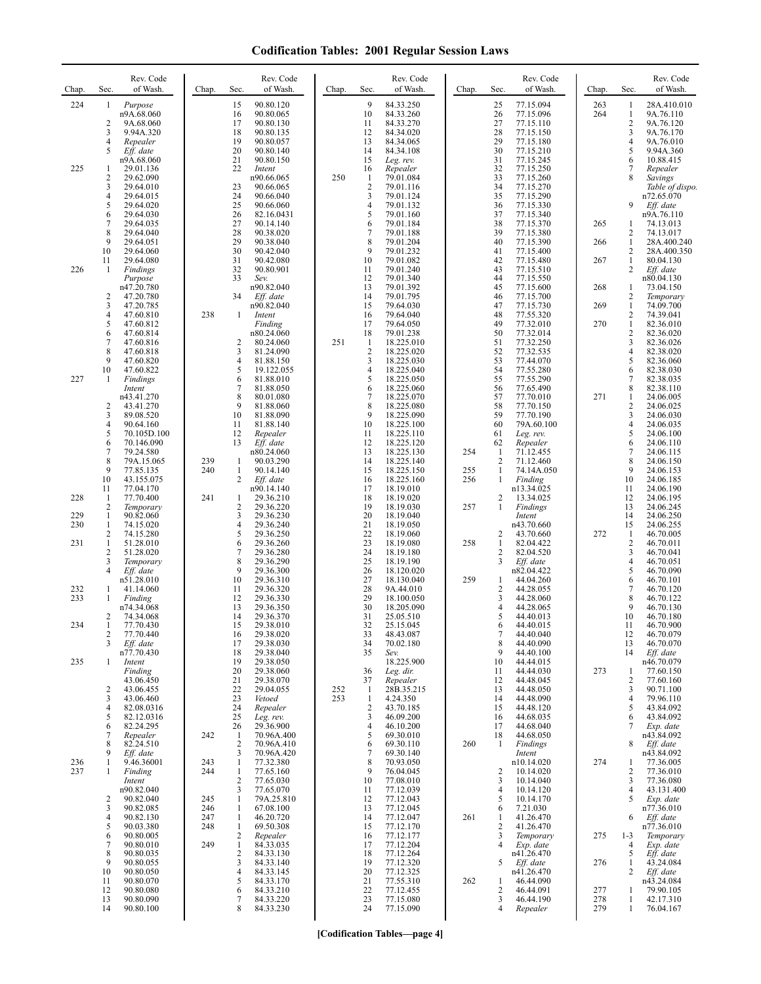| Chap.             | Sec.                            | Rev. Code<br>of Wash.                                             | Chap.             | Rev. Code<br>of Wash.<br>Sec.                                                                                                 | Chap.      | Sec.                                       | Rev. Code<br>of Wash.                                              | Chap.      | Sec.                                   | Rev. Code<br>of Wash.                                          | Chap.             | Sec.                                   | Rev. Code<br>of Wash.                                               |
|-------------------|---------------------------------|-------------------------------------------------------------------|-------------------|-------------------------------------------------------------------------------------------------------------------------------|------------|--------------------------------------------|--------------------------------------------------------------------|------------|----------------------------------------|----------------------------------------------------------------|-------------------|----------------------------------------|---------------------------------------------------------------------|
| 224               | 1<br>2<br>3                     | Purpose<br>n9A.68.060<br>9A.68.060<br>9.94A.320                   |                   | 90.80.120<br>15<br>90.80.065<br>16<br>17<br>90.80.130<br>18<br>90.80.135                                                      |            | 9<br>10<br>11<br>12                        | 84.33.250<br>84.33.260<br>84.33.270<br>84.34.020                   |            | 25<br>26<br>27<br>28                   | 77.15.094<br>77.15.096<br>77.15.110<br>77.15.150               | 263<br>264        | 1<br>$\mathbf{1}$<br>$\mathbf{2}$<br>3 | 28A.410.010<br>9A.76.110<br>9A.76.120<br>9A.76.170                  |
| 225               | 4<br>5<br>1<br>$\overline{c}$   | Repealer<br>Eff. date<br>n9A.68.060<br>29.01.136<br>29.62.090     |                   | 19<br>90.80.057<br>20<br>90.80.140<br>21<br>90.80.150<br>22<br>Intent<br>n90.66.065                                           | 250        | 13<br>14<br>15<br>16<br>$\mathbf{1}$       | 84.34.065<br>84.34.108<br>Leg. rev.<br>Repealer<br>79.01.084       |            | 29<br>30<br>31<br>32<br>33             | 77.15.180<br>77.15.210<br>77.15.245<br>77.15.250<br>77.15.260  |                   | 4<br>5<br>6<br>7<br>8                  | 9A.76.010<br>9.94A.360<br>10.88.415<br>Repealer                     |
|                   | 3<br>4<br>5<br>6                | 29.64.010<br>29.64.015<br>29.64.020<br>29.64.030                  |                   | 23<br>90.66.065<br>24<br>90.66.040<br>25<br>90.66.060<br>26<br>82.16.0431                                                     |            | $\overline{2}$<br>3<br>$\overline{4}$<br>5 | 79.01.116<br>79.01.124<br>79.01.132<br>79.01.160                   |            | 34<br>35<br>36<br>37                   | 77.15.270<br>77.15.290<br>77.15.330<br>77.15.340               |                   | 9                                      | Savings<br>Table of dispo.<br>n72.65.070<br>Eff. date<br>n9A.76.110 |
|                   | 7<br>8<br>9                     | 29.64.035<br>29.64.040<br>29.64.051                               |                   | 27<br>90.14.140<br>28<br>90.38.020<br>29<br>90.38.040                                                                         |            | 6<br>7<br>8                                | 79.01.184<br>79.01.188<br>79.01.204                                |            | 38<br>39<br>40                         | 77.15.370<br>77.15.380<br>77.15.390                            | 265<br>266        | 1<br>2<br>$\mathbf{1}$                 | 74.13.013<br>74.13.017<br>28A.400.240                               |
| 226               | 10<br>11<br>1                   | 29.64.060<br>29.64.080<br>Findings<br>Purpose                     |                   | 30<br>90.42.040<br>31<br>90.42.080<br>32<br>90.80.901<br>33<br>Sev.                                                           |            | 9<br>10<br>11<br>12                        | 79.01.232<br>79.01.082<br>79.01.240<br>79.01.340                   |            | 41<br>42<br>43<br>44                   | 77.15.400<br>77.15.480<br>77.15.510<br>77.15.550               | 267               | 2<br>$\mathbf{1}$<br>$\overline{c}$    | 28A.400.350<br>80.04.130<br>Eff. date<br>n80.04.130                 |
|                   | $\overline{c}$<br>3<br>4        | n47.20.780<br>47.20.780<br>47.20.785                              | 238               | n90.82.040<br>34<br>Eff. date<br>n90.82.040<br>$\mathbf{1}$                                                                   |            | 13<br>14<br>15<br>16                       | 79.01.392<br>79.01.795<br>79.64.030<br>79.64.040                   |            | 45<br>46<br>47<br>48                   | 77.15.600<br>77.15.700<br>77.15.730                            | 268<br>269        | 1<br>2<br>$\mathbf{1}$<br>2            | 73.04.150<br>Temporary<br>74.09.700                                 |
|                   | 5<br>6<br>7<br>8                | 47.60.810<br>47.60.812<br>47.60.814<br>47.60.816<br>47.60.818     |                   | Intent<br>Finding<br>n80.24.060<br>2<br>80.24.060<br>3<br>81.24.090                                                           | 251        | 17<br>18<br>$\mathbf{1}$<br>$\overline{2}$ | 79.64.050<br>79.01.238<br>18.225.010<br>18.225.020                 |            | 49<br>50<br>51<br>52                   | 77.55.320<br>77.32.010<br>77.32.014<br>77.32.250<br>77.32.535  | 270               | $\mathbf{1}$<br>2<br>3<br>4            | 74.39.041<br>82.36.010<br>82.36.020<br>82.36.026<br>82.38.020       |
| 227               | 9<br>10<br>1                    | 47.60.820<br>47.60.822<br>Findings<br>Intent                      |                   | $\overline{4}$<br>81.88.150<br>5<br>19.122.055<br>6<br>81.88.010<br>7<br>81.88.050                                            |            | 3<br>4<br>5<br>6                           | 18.225.030<br>18.225.040<br>18.225.050<br>18.225.060               |            | 53<br>54<br>55<br>56                   | 77.44.070<br>77.55.280<br>77.55.290<br>77.65.490               |                   | 5<br>6<br>7<br>8                       | 82.36.060<br>82.38.030<br>82.38.035<br>82.38.110                    |
|                   | 2<br>3<br>4                     | n43.41.270<br>43.41.270<br>89.08.520<br>90.64.160                 |                   | 8<br>80.01.080<br>9<br>81.88.060<br>10<br>81.88.090<br>11<br>81.88.140                                                        |            | 7<br>8<br>9<br>10                          | 18.225.070<br>18.225.080<br>18.225.090<br>18.225.100               |            | 57<br>58<br>59<br>60                   | 77.70.010<br>77.70.150<br>77.70.190<br>79A.60.100              | 271               | $\mathbf{1}$<br>2<br>3<br>4            | 24.06.005<br>24.06.025<br>24.06.030<br>24.06.035                    |
|                   | 5<br>6<br>7<br>8<br>9           | 70.105D.100<br>70.146.090<br>79.24.580<br>79A.15.065<br>77.85.135 | 239<br>240        | 12<br>Repealer<br>Eff. date<br>13<br>n80.24.060<br>90.03.290<br>1<br>-1<br>90.14.140                                          |            | 11<br>12<br>13<br>14<br>15                 | 18.225.110<br>18.225.120<br>18.225.130<br>18.225.140<br>18.225.150 | 254<br>255 | 61<br>62<br>1<br>$\overline{2}$<br>1   | Leg. rev.<br>Repealer<br>71.12.455<br>71.12.460<br>74.14A.050  |                   | 5<br>6<br>7<br>8<br>9                  | 24.06.100<br>24.06.110<br>24.06.115<br>24.06.150<br>24.06.153       |
| 228               | 10<br>11<br>1<br>$\overline{c}$ | 43.155.075<br>77.04.170<br>77.70.400<br>Temporary                 | 241               | 2<br>Eff. date<br>n90.14.140<br>1<br>29.36.210<br>$\overline{c}$<br>29.36.220                                                 |            | 16<br>17<br>18<br>19                       | 18.225.160<br>18.19.010<br>18.19.020<br>18.19.030                  | 256<br>257 | 1<br>$\overline{c}$<br>1               | Finding<br>n13.34.025<br>13.34.025<br>Findings                 |                   | 10<br>11<br>12<br>13                   | 24.06.185<br>24.06.190<br>24.06.195<br>24.06.245                    |
| 229<br>230<br>231 | 1<br>1<br>2<br>$\mathbf{1}$     | 90.82.060<br>74.15.020<br>74.15.280<br>51.28.010                  |                   | 3<br>29.36.230<br>$\overline{4}$<br>29.36.240<br>5<br>29.36.250<br>6<br>29.36.260                                             |            | 20<br>21<br>22<br>23                       | 18.19.040<br>18.19.050<br>18.19.060<br>18.19.080                   | 258        | 2<br>1                                 | Intent<br>n43.70.660<br>43.70.660<br>82.04.422                 | 272               | 14<br>15<br>1<br>$\overline{c}$        | 24.06.250<br>24.06.255<br>46.70.005<br>46.70.011                    |
| 232               | $\overline{c}$<br>3<br>4<br>1   | 51.28.020<br>Temporary<br>Eff. date<br>n51.28.010<br>41.14.060    |                   | 7<br>29.36.280<br>8<br>29.36.290<br>9<br>29.36.300<br>10<br>29.36.310<br>11<br>29.36.320                                      |            | 24<br>25<br>26<br>27<br>28                 | 18.19.180<br>18.19.190<br>18.120.020<br>18.130.040<br>9A.44.010    | 259        | 2<br>3<br>1<br>$\overline{\mathbf{c}}$ | 82.04.520<br>Eff. date<br>n82.04.422<br>44.04.260<br>44.28.055 |                   | 3<br>4<br>5<br>6<br>7                  | 46.70.041<br>46.70.051<br>46.70.090<br>46.70.101<br>46.70.120       |
| 233<br>234        | 1<br>2                          | Finding<br>n74.34.068<br>74.34.068<br>77.70.430                   |                   | 12<br>29.36.330<br>13<br>29.36.350<br>14<br>29.36.370<br>15<br>29.38.010                                                      |            | 29<br>30<br>31<br>32                       | 18.100.050<br>18.205.090<br>25.05.510<br>25.15.045                 |            | 3<br>$\overline{4}$<br>5<br>6          | 44.28.060<br>44.28.065<br>44.40.013<br>44.40.015               |                   | 8<br>9<br>10<br>11                     | 46.70.122<br>46.70.130<br>46.70.180<br>46.70.900                    |
| 235               | 2<br>3<br>1                     | 77.70.440<br>Eff. date<br>n77.70.430                              |                   | 16<br>29.38.020<br>29.38.030<br>17<br>18<br>29.38.040<br>19<br>29.38.050                                                      |            | 33<br>34<br>35                             | 48.43.087<br>70.02.180<br>Sev.<br>18.225.900                       |            | $\tau$<br>8<br>9<br>10                 | 44.40.040<br>44.40.090<br>44.40.100<br>44.44.015               |                   | 12<br>13<br>14                         | 46.70.079<br>46.70.070<br>Eff. date                                 |
|                   | 2<br>3                          | Intent<br>Finding<br>43.06.450<br>43.06.455<br>43.06.460          |                   | 20<br>29.38.060<br>21<br>29.38.070<br>22<br>29.04.055<br>23<br>Vetoed                                                         | 252<br>253 | 36<br>37<br>-1<br>$\mathbf{1}$             | Leg. dir.<br>Repealer<br>28B.35.215<br>4.24.350                    |            | 11<br>12<br>13<br>14                   | 44.44.030<br>44.48.045<br>44.48.050<br>44.48.090               | 273               | 1<br>2<br>3<br>4                       | n46.70.079<br>77.60.150<br>77.60.160<br>90.71.100<br>79.96.110      |
|                   | 4<br>5<br>6<br>7                | 82.08.0316<br>82.12.0316<br>82.24.295<br>Repealer                 | 242               | 24<br>Repealer<br>25<br>Leg. rev.<br>26<br>29.36.900<br>70.96A.400<br>-1                                                      |            | $\sqrt{2}$<br>3<br>4<br>5                  | 43.70.185<br>46.09.200<br>46.10.200<br>69.30.010                   |            | 15<br>16<br>17<br>18                   | 44.48.120<br>44.68.035<br>44.68.040<br>44.68.050               |                   | 5<br>6<br>7                            | 43.84.092<br>43.84.092<br>Exp. date<br>n43.84.092                   |
| 236<br>237        | 8<br>9<br>1<br>1                | 82.24.510<br>Eff. date<br>9.46.36001<br>Finding<br>Intent         | 243<br>244        | $\overline{2}$<br>70.96A.410<br>3<br>70.96A.420<br>77.32.380<br>1<br>$\mathbf{1}$<br>77.65.160<br>$\overline{c}$<br>77.65.030 |            | 6<br>7<br>8<br>9<br>10                     | 69.30.110<br>69.30.140<br>70.93.050<br>76.04.045<br>77.08.010      | 260        | 1<br>2<br>3                            | Findings<br>Intent<br>n10.14.020<br>10.14.020<br>10.14.040     | 274               | 8<br>1<br>2<br>3                       | Eff. date<br>n43.84.092<br>77.36.005<br>77.36.010<br>77.36.080      |
|                   | 2<br>3<br>4                     | n90.82.040<br>90.82.040<br>90.82.085<br>90.82.130                 | 245<br>246<br>247 | 3<br>77.65.070<br>1<br>79A.25.810<br>1<br>67.08.100<br>1<br>46.20.720                                                         |            | 11<br>12<br>13<br>14                       | 77.12.039<br>77.12.043<br>77.12.045<br>77.12.047                   | 261        | 4<br>5<br>6<br>1                       | 10.14.120<br>10.14.170<br>7.21.030<br>41.26.470                |                   | 4<br>5<br>6                            | 43.131.400<br>Exp. date<br>n77.36.010<br>Eff. date                  |
|                   | 5<br>6<br>7<br>8                | 90.03.380<br>90.80.005<br>90.80.010<br>90.80.035                  | 248<br>249        | 69.50.308<br>1<br>$\overline{2}$<br>Repealer<br>$\mathbf{1}$<br>84.33.035<br>$\overline{2}$<br>84.33.130                      |            | 15<br>16<br>17<br>18                       | 77.12.170<br>77.12.177<br>77.12.204<br>77.12.264                   |            | 2<br>3<br>$\overline{4}$               | 41.26.470<br>Temporary<br>Exp. date<br>n41.26.470              | 275               | $1 - 3$<br>$\overline{4}$<br>5         | n77.36.010<br>Temporary<br>Exp. date<br>Eff. date                   |
|                   | 9<br>10<br>11<br>12<br>13       | 90.80.055<br>90.80.050<br>90.80.070<br>90.80.080<br>90.80.090     |                   | 3<br>84.33.140<br>$\overline{4}$<br>84.33.145<br>5<br>84.33.170<br>6<br>84.33.210<br>7<br>84.33.220                           |            | 19<br>20<br>21<br>22<br>23                 | 77.12.320<br>77.12.325<br>77.55.310<br>77.12.455<br>77.15.080      | 262        | 5<br>1<br>2<br>3                       | Eff. date<br>n41.26.470<br>46.44.090<br>46.44.091<br>46.44.190 | 276<br>277<br>278 | 1<br>2<br>1<br>1                       | 43.24.084<br>Eff. date<br>n43.24.084<br>79.90.105<br>42.17.310      |
|                   | 14                              | 90.80.100                                                         |                   | 8<br>84.33.230                                                                                                                |            | 24                                         | 77.15.090                                                          |            | 4                                      | Repealer                                                       | 279               | $\mathbf{1}$                           | 76.04.167                                                           |